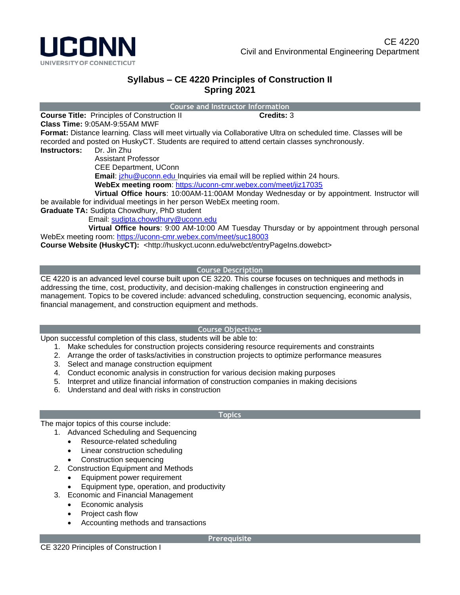

# **Syllabus – CE 4220 Principles of Construction II Spring 2021**

**Course and Instructor Information**

**Course Title:** Principles of Construction II **Credits: 3** 

**Class Time:** 9:05AM-9:55AM MWF

**Format:** Distance learning. Class will meet virtually via Collaborative Ultra on scheduled time. Classes will be recorded and posted on HuskyCT. Students are required to attend certain classes synchronously.

**Instructors:** Dr. Jin Zhu

Assistant Professor

CEE Department, UConn

**Email**: [jzhu@uconn.edu](mailto:jzhu@uconn.edu) Inquiries via email will be replied within 24 hours.

**WebEx meeting room**: <https://uconn-cmr.webex.com/meet/jiz17035>

 **Virtual Office hours**: 10:00AM-11:00AM Monday Wednesday or by appointment. Instructor will be available for individual meetings in her person WebEx meeting room.

**Graduate TA:** Sudipta Chowdhury, PhD student

Email: [sudipta.chowdhury@uconn.edu](mailto:sudipta.chowdhury@uconn.edu)

 **Virtual Office hours**: 9:00 AM-10:00 AM Tuesday Thursday or by appointment through personal WebEx meeting room:<https://uconn-cmr.webex.com/meet/suc18003>

**Course Website (HuskyCT):** <http://huskyct.uconn.edu/webct/entryPageIns.dowebct>

# **Course Description**

CE 4220 is an advanced level course built upon CE 3220. This course focuses on techniques and methods in addressing the time, cost, productivity, and decision-making challenges in construction engineering and management. Topics to be covered include: advanced scheduling, construction sequencing, economic analysis, financial management, and construction equipment and methods.

## **Course Objectives**

Upon successful completion of this class, students will be able to:

- 1. Make schedules for construction projects considering resource requirements and constraints
- 2. Arrange the order of tasks/activities in construction projects to optimize performance measures
- 3. Select and manage construction equipment
- 4. Conduct economic analysis in construction for various decision making purposes
- 5. Interpret and utilize financial information of construction companies in making decisions
- 6. Understand and deal with risks in construction

## **Topics**

The major topics of this course include:

- 1. Advanced Scheduling and Sequencing
	- Resource-related scheduling
	- Linear construction scheduling
	- Construction sequencing
- 2. Construction Equipment and Methods
	- Equipment power requirement
	- Equipment type, operation, and productivity
- 3. Economic and Financial Management
	- Economic analysis
	- Project cash flow
	- Accounting methods and transactions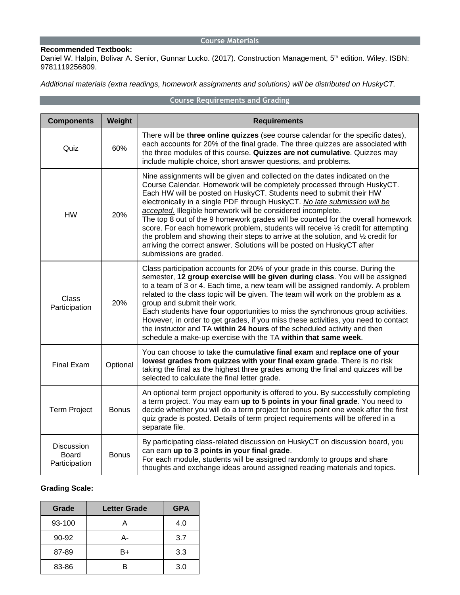#### **Course Materials**

## **Recommended Textbook:**

Daniel W. Halpin, Bolivar A. Senior, Gunnar Lucko. (2017). Construction Management, 5<sup>th</sup> edition. Wiley. ISBN: 9781119256809.

*Additional materials (extra readings, homework assignments and solutions) will be distributed on HuskyCT.*

# **Course Requirements and Grading**

| <b>Components</b>                           | Weight       | <b>Requirements</b>                                                                                                                                                                                                                                                                                                                                                                                                                                                                                                                                                                                                                                                                                                                         |  |
|---------------------------------------------|--------------|---------------------------------------------------------------------------------------------------------------------------------------------------------------------------------------------------------------------------------------------------------------------------------------------------------------------------------------------------------------------------------------------------------------------------------------------------------------------------------------------------------------------------------------------------------------------------------------------------------------------------------------------------------------------------------------------------------------------------------------------|--|
| Quiz                                        | 60%          | There will be three online quizzes (see course calendar for the specific dates),<br>each accounts for 20% of the final grade. The three quizzes are associated with<br>the three modules of this course. Quizzes are not cumulative. Quizzes may<br>include multiple choice, short answer questions, and problems.                                                                                                                                                                                                                                                                                                                                                                                                                          |  |
| <b>HW</b>                                   | 20%          | Nine assignments will be given and collected on the dates indicated on the<br>Course Calendar. Homework will be completely processed through HuskyCT.<br>Each HW will be posted on HuskyCT. Students need to submit their HW<br>electronically in a single PDF through HuskyCT. No late submission will be<br>accepted. Illegible homework will be considered incomplete.<br>The top 8 out of the 9 homework grades will be counted for the overall homework<br>score. For each homework problem, students will receive 1/2 credit for attempting<br>the problem and showing their steps to arrive at the solution, and 1/2 credit for<br>arriving the correct answer. Solutions will be posted on HuskyCT after<br>submissions are graded. |  |
| Class<br>Participation                      | 20%          | Class participation accounts for 20% of your grade in this course. During the<br>semester, 12 group exercise will be given during class. You will be assigned<br>to a team of 3 or 4. Each time, a new team will be assigned randomly. A problem<br>related to the class topic will be given. The team will work on the problem as a<br>group and submit their work.<br>Each students have four opportunities to miss the synchronous group activities.<br>However, in order to get grades, if you miss these activities, you need to contact<br>the instructor and TA within 24 hours of the scheduled activity and then<br>schedule a make-up exercise with the TA within that same week.                                                 |  |
| <b>Final Exam</b>                           | Optional     | You can choose to take the cumulative final exam and replace one of your<br>lowest grades from quizzes with your final exam grade. There is no risk<br>taking the final as the highest three grades among the final and quizzes will be<br>selected to calculate the final letter grade.                                                                                                                                                                                                                                                                                                                                                                                                                                                    |  |
| <b>Term Project</b>                         | <b>Bonus</b> | An optional term project opportunity is offered to you. By successfully completing<br>a term project. You may earn up to 5 points in your final grade. You need to<br>decide whether you will do a term project for bonus point one week after the first<br>quiz grade is posted. Details of term project requirements will be offered in a<br>separate file.                                                                                                                                                                                                                                                                                                                                                                               |  |
| Discussion<br><b>Board</b><br>Participation | <b>Bonus</b> | By participating class-related discussion on HuskyCT on discussion board, you<br>can earn up to 3 points in your final grade.<br>For each module, students will be assigned randomly to groups and share<br>thoughts and exchange ideas around assigned reading materials and topics.                                                                                                                                                                                                                                                                                                                                                                                                                                                       |  |

# **Grading Scale:**

| Grade  | <b>Letter Grade</b> | <b>GPA</b> |
|--------|---------------------|------------|
| 93-100 |                     |            |
| 90-92  | А-                  | 3.7        |
| 87-89  | B+                  | 3.3        |
| 83-86  | R                   | 3.0        |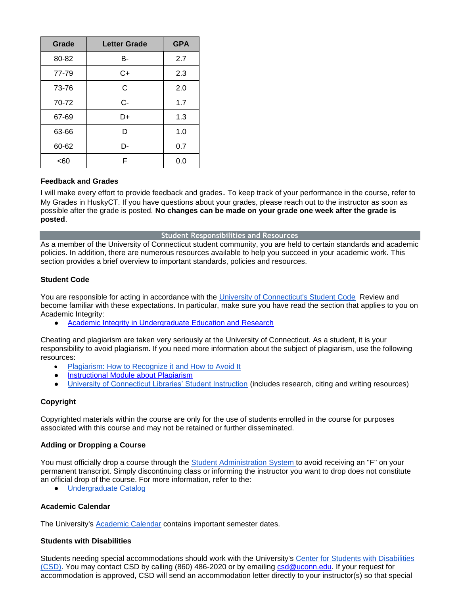| Grade | <b>Letter Grade</b> | <b>GPA</b> |
|-------|---------------------|------------|
| 80-82 | В-                  | 2.7        |
| 77-79 | C+                  | 2.3        |
| 73-76 | C                   | 2.0        |
| 70-72 | $C -$               | 1.7        |
| 67-69 | D+                  | 1.3        |
| 63-66 | D                   | 1.0        |
| 60-62 | D-                  | 0.7        |
| <60   | F                   | 0.0        |

## **Feedback and Grades**

I will make every effort to provide feedback and grades. To keep track of your performance in the course, refer to My Grades in HuskyCT. If you have questions about your grades, please reach out to the instructor as soon as possible after the grade is posted. **No changes can be made on your grade one week after the grade is posted**.

#### **Student Responsibilities and Resources**

As a member of the University of Connecticut student community, you are held to certain standards and academic policies. In addition, there are numerous resources available to help you succeed in your academic work. This section provides a brief overview to important standards, policies and resources.

#### **Student Code**

You are responsible for acting in accordance with the [University of Connecticut's Student Code](http://community.uconn.edu/the-student-code/) Review and become familiar with these expectations. In particular, make sure you have read the section that applies to you on Academic Integrity:

[Academic Integrity in Undergraduate Education and Research](http://community.uconn.edu/the-student-code-appendix-a/)

Cheating and plagiarism are taken very seriously at the University of Connecticut. As a student, it is your responsibility to avoid plagiarism. If you need more information about the subject of plagiarism, use the following resources:

- [Plagiarism: How to Recognize it and How to Avoid It](http://lib.uconn.edu/instruction/tutorials/plagiarism.htm)
- **[Instructional Module about Plagiarism](http://web.uconn.edu/irc/PlagiarismModule/intro_m.htm)**
- [University of Connecticut Libraries' Student Instruction](http://lib.uconn.edu/about/get-help/start-guides/undergraduate-students/) (includes research, citing and writing resources)

## **Copyright**

Copyrighted materials within the course are only for the use of students enrolled in the course for purposes associated with this course and may not be retained or further disseminated.

#### **Adding or Dropping a Course**

You must officially drop a course through the [Student Administration System](http://studentadmin.uconn.edu/) to avoid receiving an "F" on your permanent transcript. Simply discontinuing class or informing the instructor you want to drop does not constitute an official drop of the course. For more information, refer to the:

● [Undergraduate Catalog](http://catalog.uconn.edu/)

## **Academic Calendar**

The University's [Academic Calendar](http://www.registrar.uconn.edu/calendar.htm) contains important semester dates.

#### **Students with Disabilities**

Students needing special accommodations should work with the University's [Center for Students with Disabilities](http://csd.uconn.edu/)  [\(CSD\).](http://csd.uconn.edu/) You may contact CSD by calling (860) 486-2020 or by emailing [csd@uconn.edu.](mailto:csd@uconn.edu) If your request for accommodation is approved, CSD will send an accommodation letter directly to your instructor(s) so that special